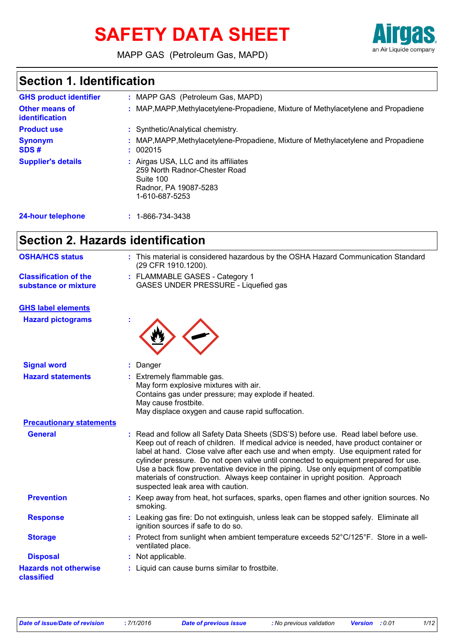# **SAFETY DATA SHEET**



MAPP GAS (Petroleum Gas, MAPD)

# **Section 1. Identification**

| <b>GHS product identifier</b>           | : MAPP GAS (Petroleum Gas, MAPD)                                                                                              |
|-----------------------------------------|-------------------------------------------------------------------------------------------------------------------------------|
| <b>Other means of</b><br>identification | : MAP, MAPP, Methylacetylene-Propadiene, Mixture of Methylacetylene and Propadiene                                            |
| <b>Product use</b>                      | : Synthetic/Analytical chemistry.                                                                                             |
| <b>Synonym</b><br>SDS#                  | : MAP, MAPP, Methylacetylene-Propadiene, Mixture of Methylacetylene and Propadiene<br>: 002015                                |
| <b>Supplier's details</b>               | : Airgas USA, LLC and its affiliates<br>259 North Radnor-Chester Road<br>Suite 100<br>Radnor, PA 19087-5283<br>1-610-687-5253 |
| 24-hour telephone                       | 1-866-734-3438                                                                                                                |

# **Section 2. Hazards identification**

| <b>OSHA/HCS status</b>                               | : This material is considered hazardous by the OSHA Hazard Communication Standard<br>(29 CFR 1910.1200).                                                                                                                                                                                                                                                                                                                                                                                                                                                               |  |  |
|------------------------------------------------------|------------------------------------------------------------------------------------------------------------------------------------------------------------------------------------------------------------------------------------------------------------------------------------------------------------------------------------------------------------------------------------------------------------------------------------------------------------------------------------------------------------------------------------------------------------------------|--|--|
| <b>Classification of the</b><br>substance or mixture | : FLAMMABLE GASES - Category 1<br>GASES UNDER PRESSURE - Liquefied gas                                                                                                                                                                                                                                                                                                                                                                                                                                                                                                 |  |  |
| <b>GHS label elements</b>                            |                                                                                                                                                                                                                                                                                                                                                                                                                                                                                                                                                                        |  |  |
| <b>Hazard pictograms</b>                             |                                                                                                                                                                                                                                                                                                                                                                                                                                                                                                                                                                        |  |  |
| <b>Signal word</b>                                   | Danger                                                                                                                                                                                                                                                                                                                                                                                                                                                                                                                                                                 |  |  |
| <b>Hazard statements</b>                             | Extremely flammable gas.<br>May form explosive mixtures with air.<br>Contains gas under pressure; may explode if heated.<br>May cause frostbite.<br>May displace oxygen and cause rapid suffocation.                                                                                                                                                                                                                                                                                                                                                                   |  |  |
| <b>Precautionary statements</b>                      |                                                                                                                                                                                                                                                                                                                                                                                                                                                                                                                                                                        |  |  |
| <b>General</b>                                       | : Read and follow all Safety Data Sheets (SDS'S) before use. Read label before use.<br>Keep out of reach of children. If medical advice is needed, have product container or<br>label at hand. Close valve after each use and when empty. Use equipment rated for<br>cylinder pressure. Do not open valve until connected to equipment prepared for use.<br>Use a back flow preventative device in the piping. Use only equipment of compatible<br>materials of construction. Always keep container in upright position. Approach<br>suspected leak area with caution. |  |  |
| <b>Prevention</b>                                    | : Keep away from heat, hot surfaces, sparks, open flames and other ignition sources. No<br>smoking.                                                                                                                                                                                                                                                                                                                                                                                                                                                                    |  |  |
| <b>Response</b>                                      | : Leaking gas fire: Do not extinguish, unless leak can be stopped safely. Eliminate all<br>ignition sources if safe to do so.                                                                                                                                                                                                                                                                                                                                                                                                                                          |  |  |
| <b>Storage</b>                                       | : Protect from sunlight when ambient temperature exceeds 52°C/125°F. Store in a well-<br>ventilated place.                                                                                                                                                                                                                                                                                                                                                                                                                                                             |  |  |
| <b>Disposal</b>                                      | : Not applicable.                                                                                                                                                                                                                                                                                                                                                                                                                                                                                                                                                      |  |  |
| <b>Hazards not otherwise</b><br>classified           | : Liquid can cause burns similar to frostbite.                                                                                                                                                                                                                                                                                                                                                                                                                                                                                                                         |  |  |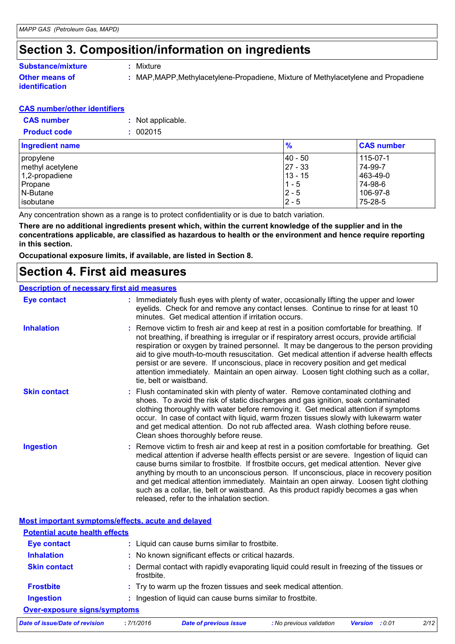### **Section 3. Composition/information on ingredients**

**:** Mixture

### **Substance/mixture**

#### **Other means of identification**

**:** MAP,MAPP,Methylacetylene-Propadiene, Mixture of Methylacetylene and Propadiene

#### **CAS number/other identifiers**

| <b>CAS number</b>   | : Not applicable. |
|---------------------|-------------------|
| <b>Product code</b> | : 002015          |

| Ingredient name  | $\frac{9}{6}$ | <b>CAS number</b> |
|------------------|---------------|-------------------|
| propylene        | 40 - 50       | $115 - 07 - 1$    |
| methyl acetylene | $ 27 - 33 $   | 74-99-7           |
| 1,2-propadiene   | 13 - 15       | 463-49-0          |
| Propane          | $1 - 5$       | 74-98-6           |
| N-Butane         | $2 - 5$       | 106-97-8          |
| isobutane        | $2 - 5$       | 75-28-5           |

Any concentration shown as a range is to protect confidentiality or is due to batch variation.

**There are no additional ingredients present which, within the current knowledge of the supplier and in the concentrations applicable, are classified as hazardous to health or the environment and hence require reporting in this section.**

**Occupational exposure limits, if available, are listed in Section 8.**

### **Section 4. First aid measures**

#### **Description of necessary first aid measures**

| <b>Eye contact</b>  | : Immediately flush eyes with plenty of water, occasionally lifting the upper and lower<br>eyelids. Check for and remove any contact lenses. Continue to rinse for at least 10<br>minutes. Get medical attention if irritation occurs.                                                                                                                                                                                                                                                                                                                                                                        |
|---------------------|---------------------------------------------------------------------------------------------------------------------------------------------------------------------------------------------------------------------------------------------------------------------------------------------------------------------------------------------------------------------------------------------------------------------------------------------------------------------------------------------------------------------------------------------------------------------------------------------------------------|
| <b>Inhalation</b>   | : Remove victim to fresh air and keep at rest in a position comfortable for breathing. If<br>not breathing, if breathing is irregular or if respiratory arrest occurs, provide artificial<br>respiration or oxygen by trained personnel. It may be dangerous to the person providing<br>aid to give mouth-to-mouth resuscitation. Get medical attention if adverse health effects<br>persist or are severe. If unconscious, place in recovery position and get medical<br>attention immediately. Maintain an open airway. Loosen tight clothing such as a collar,<br>tie, belt or waistband.                  |
| <b>Skin contact</b> | : Flush contaminated skin with plenty of water. Remove contaminated clothing and<br>shoes. To avoid the risk of static discharges and gas ignition, soak contaminated<br>clothing thoroughly with water before removing it. Get medical attention if symptoms<br>occur. In case of contact with liquid, warm frozen tissues slowly with lukewarm water<br>and get medical attention. Do not rub affected area. Wash clothing before reuse.<br>Clean shoes thoroughly before reuse.                                                                                                                            |
| <b>Ingestion</b>    | : Remove victim to fresh air and keep at rest in a position comfortable for breathing. Get<br>medical attention if adverse health effects persist or are severe. Ingestion of liquid can<br>cause burns similar to frostbite. If frostbite occurs, get medical attention. Never give<br>anything by mouth to an unconscious person. If unconscious, place in recovery position<br>and get medical attention immediately. Maintain an open airway. Loosen tight clothing<br>such as a collar, tie, belt or waistband. As this product rapidly becomes a gas when<br>released, refer to the inhalation section. |

**Most important symptoms/effects, acute and delayed**

| <b>Potential acute health effects</b> |                  |                                                                                           |                          |         |       |      |
|---------------------------------------|------------------|-------------------------------------------------------------------------------------------|--------------------------|---------|-------|------|
| <b>Eye contact</b>                    |                  | : Liquid can cause burns similar to frostbite.                                            |                          |         |       |      |
| <b>Inhalation</b>                     |                  | : No known significant effects or critical hazards.                                       |                          |         |       |      |
| <b>Skin contact</b>                   | ÷.<br>frostbite. | Dermal contact with rapidly evaporating liquid could result in freezing of the tissues or |                          |         |       |      |
| <b>Frostbite</b>                      |                  | : Try to warm up the frozen tissues and seek medical attention.                           |                          |         |       |      |
| <b>Ingestion</b>                      |                  | Ingestion of liquid can cause burns similar to frostbite.                                 |                          |         |       |      |
| Over-exposure signs/symptoms          |                  |                                                                                           |                          |         |       |      |
| Date of issue/Date of revision        | :7/1/2016        | <b>Date of previous issue</b>                                                             | : No previous validation | Version | :0.01 | 2/12 |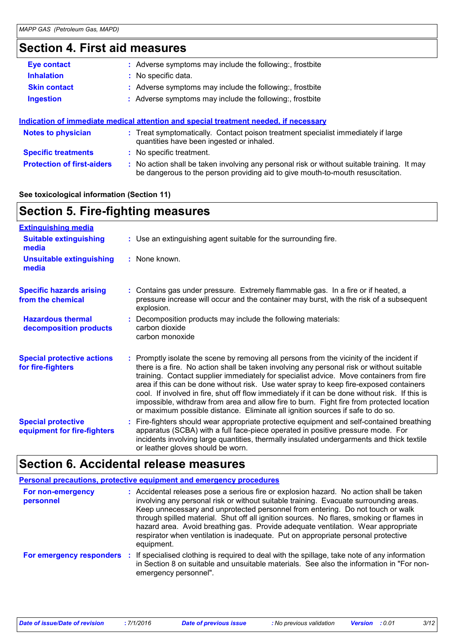# **Section 4. First aid measures**

| <b>Eye contact</b>        | : Adverse symptoms may include the following:, frostbite                                                                       |
|---------------------------|--------------------------------------------------------------------------------------------------------------------------------|
| <b>Inhalation</b>         | : No specific data.                                                                                                            |
| <b>Skin contact</b>       | : Adverse symptoms may include the following:, frostbite                                                                       |
| <b>Ingestion</b>          | : Adverse symptoms may include the following:, frostbite                                                                       |
|                           | <u>Indication of immediate medical attention and special treatment needed, if necessary</u>                                    |
| <b>Notes to physician</b> | : Treat symptomatically. Contact poison treatment specialist immediately if large<br>quantities have been ingested or inhaled. |

| <b>Specific treatments</b> | : No specific treatment. |  |
|----------------------------|--------------------------|--|
|                            |                          |  |

**Protection of first-aiders** : No action shall be taken involving any personal risk or without suitable training. It may be dangerous to the person providing aid to give mouth-to-mouth resuscitation.

#### **See toxicological information (Section 11)**

| <b>Section 5. Fire-fighting measures</b>                 |                                                                                                                                                                                                                                                                                                                                                                                                                                                                                                                                                                                                                                                               |  |
|----------------------------------------------------------|---------------------------------------------------------------------------------------------------------------------------------------------------------------------------------------------------------------------------------------------------------------------------------------------------------------------------------------------------------------------------------------------------------------------------------------------------------------------------------------------------------------------------------------------------------------------------------------------------------------------------------------------------------------|--|
| <b>Extinguishing media</b>                               |                                                                                                                                                                                                                                                                                                                                                                                                                                                                                                                                                                                                                                                               |  |
| <b>Suitable extinguishing</b><br>media                   | : Use an extinguishing agent suitable for the surrounding fire.                                                                                                                                                                                                                                                                                                                                                                                                                                                                                                                                                                                               |  |
| <b>Unsuitable extinguishing</b><br>media                 | : None known.                                                                                                                                                                                                                                                                                                                                                                                                                                                                                                                                                                                                                                                 |  |
| <b>Specific hazards arising</b><br>from the chemical     | : Contains gas under pressure. Extremely flammable gas. In a fire or if heated, a<br>pressure increase will occur and the container may burst, with the risk of a subsequent<br>explosion.                                                                                                                                                                                                                                                                                                                                                                                                                                                                    |  |
| <b>Hazardous thermal</b><br>decomposition products       | Decomposition products may include the following materials:<br>carbon dioxide<br>carbon monoxide                                                                                                                                                                                                                                                                                                                                                                                                                                                                                                                                                              |  |
| <b>Special protective actions</b><br>for fire-fighters   | : Promptly isolate the scene by removing all persons from the vicinity of the incident if<br>there is a fire. No action shall be taken involving any personal risk or without suitable<br>training. Contact supplier immediately for specialist advice. Move containers from fire<br>area if this can be done without risk. Use water spray to keep fire-exposed containers<br>cool. If involved in fire, shut off flow immediately if it can be done without risk. If this is<br>impossible, withdraw from area and allow fire to burn. Fight fire from protected location<br>or maximum possible distance. Eliminate all ignition sources if safe to do so. |  |
| <b>Special protective</b><br>equipment for fire-fighters | Fire-fighters should wear appropriate protective equipment and self-contained breathing<br>apparatus (SCBA) with a full face-piece operated in positive pressure mode. For<br>incidents involving large quantities, thermally insulated undergarments and thick textile<br>or leather gloves should be worn.                                                                                                                                                                                                                                                                                                                                                  |  |

### **Section 6. Accidental release measures**

|                                | Personal precautions, protective equipment and emergency procedures                                                                                                                                                                                                                                                                                                                                                                                                                                                                                   |
|--------------------------------|-------------------------------------------------------------------------------------------------------------------------------------------------------------------------------------------------------------------------------------------------------------------------------------------------------------------------------------------------------------------------------------------------------------------------------------------------------------------------------------------------------------------------------------------------------|
| For non-emergency<br>personnel | : Accidental releases pose a serious fire or explosion hazard. No action shall be taken<br>involving any personal risk or without suitable training. Evacuate surrounding areas.<br>Keep unnecessary and unprotected personnel from entering. Do not touch or walk<br>through spilled material. Shut off all ignition sources. No flares, smoking or flames in<br>hazard area. Avoid breathing gas. Provide adequate ventilation. Wear appropriate<br>respirator when ventilation is inadequate. Put on appropriate personal protective<br>equipment. |
| For emergency responders       | If specialised clothing is required to deal with the spillage, take note of any information<br>-11<br>in Section 8 on suitable and unsuitable materials. See also the information in "For non-<br>emergency personnel".                                                                                                                                                                                                                                                                                                                               |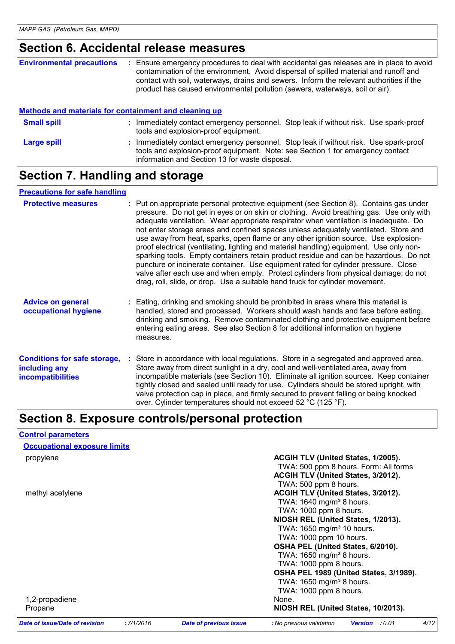# **Section 6. Accidental release measures**

| <b>Environmental precautions</b> | Ensure emergency procedures to deal with accidental gas releases are in place to avoid<br>contamination of the environment. Avoid dispersal of spilled material and runoff and<br>contact with soil, waterways, drains and sewers. Inform the relevant authorities if the<br>product has caused environmental pollution (sewers, waterways, soil or air). |
|----------------------------------|-----------------------------------------------------------------------------------------------------------------------------------------------------------------------------------------------------------------------------------------------------------------------------------------------------------------------------------------------------------|
|                                  |                                                                                                                                                                                                                                                                                                                                                           |

#### **Methods and materials for containment and cleaning up**

| <b>Small spill</b> | Immediately contact emergency personnel. Stop leak if without risk. Use spark-proof<br>tools and explosion-proof equipment.                                                                                             |
|--------------------|-------------------------------------------------------------------------------------------------------------------------------------------------------------------------------------------------------------------------|
| Large spill        | Immediately contact emergency personnel. Stop leak if without risk. Use spark-proof<br>tools and explosion-proof equipment. Note: see Section 1 for emergency contact<br>information and Section 13 for waste disposal. |

# **Section 7. Handling and storage**

#### **Precautions for safe handling**

**Control parameters**

| <b>Protective measures</b>                                                       | : Put on appropriate personal protective equipment (see Section 8). Contains gas under<br>pressure. Do not get in eyes or on skin or clothing. Avoid breathing gas. Use only with<br>adequate ventilation. Wear appropriate respirator when ventilation is inadequate. Do<br>not enter storage areas and confined spaces unless adequately ventilated. Store and<br>use away from heat, sparks, open flame or any other ignition source. Use explosion-<br>proof electrical (ventilating, lighting and material handling) equipment. Use only non-<br>sparking tools. Empty containers retain product residue and can be hazardous. Do not<br>puncture or incinerate container. Use equipment rated for cylinder pressure. Close<br>valve after each use and when empty. Protect cylinders from physical damage; do not<br>drag, roll, slide, or drop. Use a suitable hand truck for cylinder movement. |  |
|----------------------------------------------------------------------------------|---------------------------------------------------------------------------------------------------------------------------------------------------------------------------------------------------------------------------------------------------------------------------------------------------------------------------------------------------------------------------------------------------------------------------------------------------------------------------------------------------------------------------------------------------------------------------------------------------------------------------------------------------------------------------------------------------------------------------------------------------------------------------------------------------------------------------------------------------------------------------------------------------------|--|
| <b>Advice on general</b><br>occupational hygiene                                 | : Eating, drinking and smoking should be prohibited in areas where this material is<br>handled, stored and processed. Workers should wash hands and face before eating,<br>drinking and smoking. Remove contaminated clothing and protective equipment before<br>entering eating areas. See also Section 8 for additional information on hygiene<br>measures.                                                                                                                                                                                                                                                                                                                                                                                                                                                                                                                                           |  |
| <b>Conditions for safe storage,</b><br>including any<br><b>incompatibilities</b> | Store in accordance with local regulations. Store in a segregated and approved area.<br>Store away from direct sunlight in a dry, cool and well-ventilated area, away from<br>incompatible materials (see Section 10). Eliminate all ignition sources. Keep container<br>tightly closed and sealed until ready for use. Cylinders should be stored upright, with<br>valve protection cap in place, and firmly secured to prevent falling or being knocked<br>over. Cylinder temperatures should not exceed 52 °C (125 °F).                                                                                                                                                                                                                                                                                                                                                                              |  |

# **Section 8. Exposure controls/personal protection**

| <b>Occupational exposure limits</b>   |           |                               |                                        |                          |      |
|---------------------------------------|-----------|-------------------------------|----------------------------------------|--------------------------|------|
| propylene                             |           |                               | ACGIH TLV (United States, 1/2005).     |                          |      |
|                                       |           |                               | TWA: 500 ppm 8 hours. Form: All forms  |                          |      |
|                                       |           |                               | ACGIH TLV (United States, 3/2012).     |                          |      |
|                                       |           |                               | TWA: 500 ppm 8 hours.                  |                          |      |
| methyl acetylene                      |           |                               | ACGIH TLV (United States, 3/2012).     |                          |      |
|                                       |           |                               | TWA: $1640$ mg/m <sup>3</sup> 8 hours. |                          |      |
|                                       |           |                               | TWA: 1000 ppm 8 hours.                 |                          |      |
|                                       |           |                               | NIOSH REL (United States, 1/2013).     |                          |      |
|                                       |           |                               | TWA: 1650 mg/m <sup>3</sup> 10 hours.  |                          |      |
|                                       |           |                               | TWA: 1000 ppm 10 hours.                |                          |      |
|                                       |           |                               | OSHA PEL (United States, 6/2010).      |                          |      |
|                                       |           |                               | TWA: 1650 mg/m <sup>3</sup> 8 hours.   |                          |      |
|                                       |           |                               | TWA: 1000 ppm 8 hours.                 |                          |      |
|                                       |           |                               | OSHA PEL 1989 (United States, 3/1989). |                          |      |
|                                       |           |                               | TWA: $1650$ mg/m <sup>3</sup> 8 hours. |                          |      |
|                                       |           |                               | TWA: 1000 ppm 8 hours.                 |                          |      |
| 1,2-propadiene                        |           |                               | None.                                  |                          |      |
| Propane                               |           |                               | NIOSH REL (United States, 10/2013).    |                          |      |
| <b>Date of issue/Date of revision</b> | :7/1/2016 | <b>Date of previous issue</b> | : No previous validation               | : 0.01<br><b>Version</b> | 4/12 |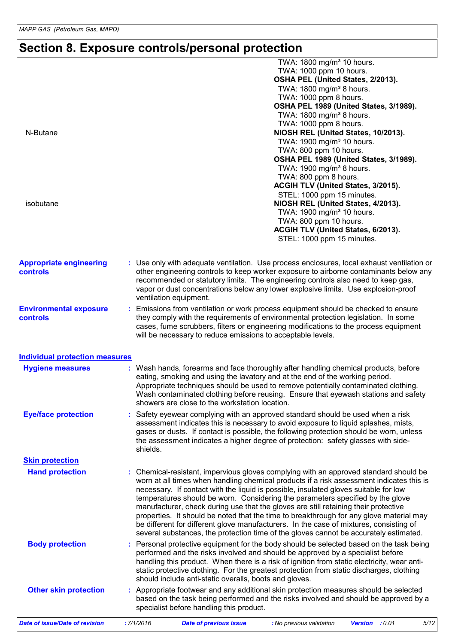# **Section 8. Exposure controls/personal protection**

|                                                   | TWA: 1800 mg/m <sup>3</sup> 10 hours.<br>TWA: 1000 ppm 10 hours.                                                                                                                                                                                                                                                                                                                                                                                                                                                                                                                                                                                                                                                                 |
|---------------------------------------------------|----------------------------------------------------------------------------------------------------------------------------------------------------------------------------------------------------------------------------------------------------------------------------------------------------------------------------------------------------------------------------------------------------------------------------------------------------------------------------------------------------------------------------------------------------------------------------------------------------------------------------------------------------------------------------------------------------------------------------------|
|                                                   | OSHA PEL (United States, 2/2013).                                                                                                                                                                                                                                                                                                                                                                                                                                                                                                                                                                                                                                                                                                |
|                                                   | TWA: 1800 mg/m <sup>3</sup> 8 hours.<br>TWA: 1000 ppm 8 hours.                                                                                                                                                                                                                                                                                                                                                                                                                                                                                                                                                                                                                                                                   |
|                                                   | OSHA PEL 1989 (United States, 3/1989).                                                                                                                                                                                                                                                                                                                                                                                                                                                                                                                                                                                                                                                                                           |
|                                                   | TWA: 1800 mg/m <sup>3</sup> 8 hours.                                                                                                                                                                                                                                                                                                                                                                                                                                                                                                                                                                                                                                                                                             |
|                                                   | TWA: 1000 ppm 8 hours.                                                                                                                                                                                                                                                                                                                                                                                                                                                                                                                                                                                                                                                                                                           |
| N-Butane                                          | NIOSH REL (United States, 10/2013).                                                                                                                                                                                                                                                                                                                                                                                                                                                                                                                                                                                                                                                                                              |
|                                                   | TWA: 1900 mg/m <sup>3</sup> 10 hours.                                                                                                                                                                                                                                                                                                                                                                                                                                                                                                                                                                                                                                                                                            |
|                                                   | TWA: 800 ppm 10 hours.                                                                                                                                                                                                                                                                                                                                                                                                                                                                                                                                                                                                                                                                                                           |
|                                                   | OSHA PEL 1989 (United States, 3/1989).                                                                                                                                                                                                                                                                                                                                                                                                                                                                                                                                                                                                                                                                                           |
|                                                   | TWA: 1900 mg/m <sup>3</sup> 8 hours.<br>TWA: 800 ppm 8 hours.                                                                                                                                                                                                                                                                                                                                                                                                                                                                                                                                                                                                                                                                    |
|                                                   | ACGIH TLV (United States, 3/2015).                                                                                                                                                                                                                                                                                                                                                                                                                                                                                                                                                                                                                                                                                               |
|                                                   | STEL: 1000 ppm 15 minutes.                                                                                                                                                                                                                                                                                                                                                                                                                                                                                                                                                                                                                                                                                                       |
| isobutane                                         | NIOSH REL (United States, 4/2013).                                                                                                                                                                                                                                                                                                                                                                                                                                                                                                                                                                                                                                                                                               |
|                                                   | TWA: 1900 mg/m <sup>3</sup> 10 hours.                                                                                                                                                                                                                                                                                                                                                                                                                                                                                                                                                                                                                                                                                            |
|                                                   | TWA: 800 ppm 10 hours.                                                                                                                                                                                                                                                                                                                                                                                                                                                                                                                                                                                                                                                                                                           |
|                                                   | ACGIH TLV (United States, 6/2013).                                                                                                                                                                                                                                                                                                                                                                                                                                                                                                                                                                                                                                                                                               |
|                                                   | STEL: 1000 ppm 15 minutes.                                                                                                                                                                                                                                                                                                                                                                                                                                                                                                                                                                                                                                                                                                       |
| <b>Appropriate engineering</b><br><b>controls</b> | : Use only with adequate ventilation. Use process enclosures, local exhaust ventilation or<br>other engineering controls to keep worker exposure to airborne contaminants below any<br>recommended or statutory limits. The engineering controls also need to keep gas,<br>vapor or dust concentrations below any lower explosive limits. Use explosion-proof<br>ventilation equipment.                                                                                                                                                                                                                                                                                                                                          |
| <b>Environmental exposure</b>                     | : Emissions from ventilation or work process equipment should be checked to ensure                                                                                                                                                                                                                                                                                                                                                                                                                                                                                                                                                                                                                                               |
| controls                                          | they comply with the requirements of environmental protection legislation. In some<br>cases, fume scrubbers, filters or engineering modifications to the process equipment<br>will be necessary to reduce emissions to acceptable levels.                                                                                                                                                                                                                                                                                                                                                                                                                                                                                        |
| <b>Individual protection measures</b>             |                                                                                                                                                                                                                                                                                                                                                                                                                                                                                                                                                                                                                                                                                                                                  |
| <b>Hygiene measures</b>                           | : Wash hands, forearms and face thoroughly after handling chemical products, before<br>eating, smoking and using the lavatory and at the end of the working period.<br>Appropriate techniques should be used to remove potentially contaminated clothing.<br>Wash contaminated clothing before reusing. Ensure that eyewash stations and safety<br>showers are close to the workstation location.                                                                                                                                                                                                                                                                                                                                |
| <b>Eye/face protection</b>                        | Safety eyewear complying with an approved standard should be used when a risk                                                                                                                                                                                                                                                                                                                                                                                                                                                                                                                                                                                                                                                    |
|                                                   | assessment indicates this is necessary to avoid exposure to liquid splashes, mists,<br>gases or dusts. If contact is possible, the following protection should be worn, unless<br>the assessment indicates a higher degree of protection: safety glasses with side-<br>shields.                                                                                                                                                                                                                                                                                                                                                                                                                                                  |
| <b>Skin protection</b>                            |                                                                                                                                                                                                                                                                                                                                                                                                                                                                                                                                                                                                                                                                                                                                  |
| <b>Hand protection</b>                            | : Chemical-resistant, impervious gloves complying with an approved standard should be<br>worn at all times when handling chemical products if a risk assessment indicates this is<br>necessary. If contact with the liquid is possible, insulated gloves suitable for low<br>temperatures should be worn. Considering the parameters specified by the glove<br>manufacturer, check during use that the gloves are still retaining their protective<br>properties. It should be noted that the time to breakthrough for any glove material may<br>be different for different glove manufacturers. In the case of mixtures, consisting of<br>several substances, the protection time of the gloves cannot be accurately estimated. |
| <b>Body protection</b>                            | Personal protective equipment for the body should be selected based on the task being<br>performed and the risks involved and should be approved by a specialist before<br>handling this product. When there is a risk of ignition from static electricity, wear anti-<br>static protective clothing. For the greatest protection from static discharges, clothing<br>should include anti-static overalls, boots and gloves.                                                                                                                                                                                                                                                                                                     |
| <b>Other skin protection</b>                      | : Appropriate footwear and any additional skin protection measures should be selected<br>based on the task being performed and the risks involved and should be approved by a<br>specialist before handling this product.                                                                                                                                                                                                                                                                                                                                                                                                                                                                                                        |
| <b>Date of issue/Date of revision</b>             | 5/12<br>:7/1/2016<br><b>Date of previous issue</b><br>: 0.01<br>: No previous validation<br><b>Version</b>                                                                                                                                                                                                                                                                                                                                                                                                                                                                                                                                                                                                                       |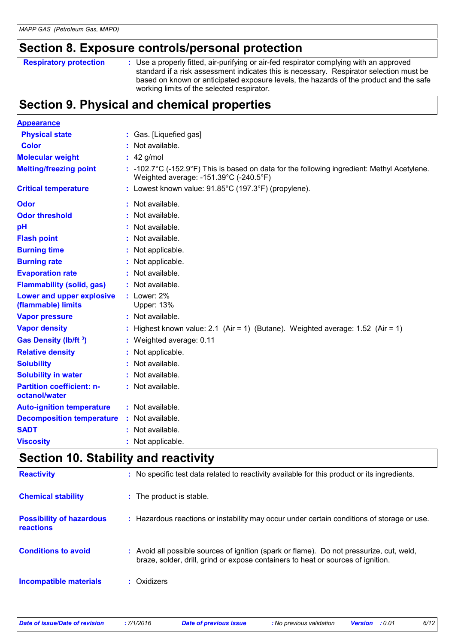### **Section 8. Exposure controls/personal protection**

```
Respiratory protection :
```
Use a properly fitted, air-purifying or air-fed respirator complying with an approved standard if a risk assessment indicates this is necessary. Respirator selection must be based on known or anticipated exposure levels, the hazards of the product and the safe working limits of the selected respirator.

# **Section 9. Physical and chemical properties**

| <b>Appearance</b>                                 |   |                                                                                                                                                 |
|---------------------------------------------------|---|-------------------------------------------------------------------------------------------------------------------------------------------------|
| <b>Physical state</b>                             |   | : Gas. [Liquefied gas]                                                                                                                          |
| <b>Color</b>                                      |   | Not available.                                                                                                                                  |
| <b>Molecular weight</b>                           |   | $42$ g/mol                                                                                                                                      |
| <b>Melting/freezing point</b>                     |   | $: -102.7^{\circ}$ C (-152.9°F) This is based on data for the following ingredient: Methyl Acetylene.<br>Weighted average: -151.39°C (-240.5°F) |
| <b>Critical temperature</b>                       |   | : Lowest known value: $91.85^{\circ}$ C (197.3°F) (propylene).                                                                                  |
| <b>Odor</b>                                       |   | Not available.                                                                                                                                  |
| <b>Odor threshold</b>                             |   | Not available.                                                                                                                                  |
| pH                                                |   | Not available.                                                                                                                                  |
| <b>Flash point</b>                                |   | Not available.                                                                                                                                  |
| <b>Burning time</b>                               |   | Not applicable.                                                                                                                                 |
| <b>Burning rate</b>                               |   | Not applicable.                                                                                                                                 |
| <b>Evaporation rate</b>                           |   | Not available.                                                                                                                                  |
| <b>Flammability (solid, gas)</b>                  |   | : Not available.                                                                                                                                |
| Lower and upper explosive<br>(flammable) limits   |   | $:$ Lower: $2\%$<br>Upper: 13%                                                                                                                  |
| <b>Vapor pressure</b>                             |   | : Not available.                                                                                                                                |
| <b>Vapor density</b>                              |   | Highest known value: 2.1 (Air = 1) (Butane). Weighted average: $1.52$ (Air = 1)                                                                 |
| Gas Density (lb/ft 3)                             |   | Weighted average: 0.11                                                                                                                          |
| <b>Relative density</b>                           |   | Not applicable.                                                                                                                                 |
| <b>Solubility</b>                                 |   | Not available.                                                                                                                                  |
| <b>Solubility in water</b>                        |   | Not available.                                                                                                                                  |
| <b>Partition coefficient: n-</b><br>octanol/water |   | : Not available.                                                                                                                                |
| <b>Auto-ignition temperature</b>                  |   | : Not available.                                                                                                                                |
| <b>Decomposition temperature</b>                  | ÷ | Not available.                                                                                                                                  |
| <b>SADT</b>                                       |   | Not available.                                                                                                                                  |
| <b>Viscosity</b>                                  |   | Not applicable.                                                                                                                                 |

### **Section 10. Stability and reactivity**

| <b>Reactivity</b>                            | : No specific test data related to reactivity available for this product or its ingredients.                                                                                 |
|----------------------------------------------|------------------------------------------------------------------------------------------------------------------------------------------------------------------------------|
| <b>Chemical stability</b>                    | : The product is stable.                                                                                                                                                     |
| <b>Possibility of hazardous</b><br>reactions | : Hazardous reactions or instability may occur under certain conditions of storage or use.                                                                                   |
| <b>Conditions to avoid</b>                   | : Avoid all possible sources of ignition (spark or flame). Do not pressurize, cut, weld,<br>braze, solder, drill, grind or expose containers to heat or sources of ignition. |
| <b>Incompatible materials</b>                | : Oxidizers                                                                                                                                                                  |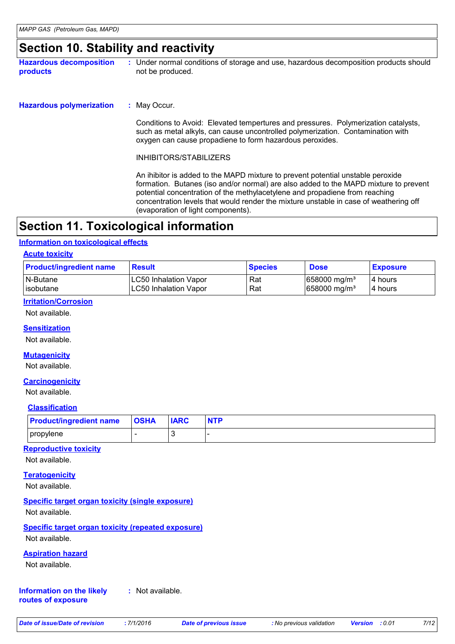### **Section 10. Stability and reactivity**

**Hazardous decomposition products** Under normal conditions of storage and use, hazardous decomposition products should **:** not be produced.

: May Occur. **Hazardous polymerization :**

> Conditions to Avoid: Elevated tempertures and pressures. Polymerization catalysts, such as metal alkyls, can cause uncontrolled polymerization. Contamination with oxygen can cause propadiene to form hazardous peroxides.

INHIBITORS/STABILIZERS

An ihibitor is added to the MAPD mixture to prevent potential unstable peroxide formation. Butanes (iso and/or normal) are also added to the MAPD mixture to prevent potential concentration of the methylacetylene and propadiene from reaching concentration levels that would render the mixture unstable in case of weathering off (evaporation of light components).

# **Section 11. Toxicological information**

#### **Information on toxicological effects**

#### **Acute toxicity**

| <b>Product/ingredient name</b> | <b>Result</b>                | <b>Species</b> | <b>Dose</b>               | <b>Exposure</b> |
|--------------------------------|------------------------------|----------------|---------------------------|-----------------|
| N-Butane                       | <b>LC50 Inhalation Vapor</b> | Rat            | $ 658000 \text{ mg/m}^3 $ | 14 hours        |
| lisobutane                     | <b>LC50 Inhalation Vapor</b> | Rat            | $ 658000 \text{ mg/m}^3 $ | 14 hours        |

#### **Irritation/Corrosion**

Not available.

#### **Sensitization**

Not available.

#### **Mutagenicity**

Not available.

#### **Carcinogenicity**

Not available.

#### **Classification**

| <b>Product/ingredient name</b> | <b>OSHA</b> | <b>IARC</b> | <b>NTP</b> |
|--------------------------------|-------------|-------------|------------|
| propylene                      |             |             |            |

#### **Reproductive toxicity**

Not available.

#### **Teratogenicity**

Not available.

#### **Specific target organ toxicity (single exposure)**

Not available.

# **Specific target organ toxicity (repeated exposure)**

Not available.

#### **Aspiration hazard**

Not available.

#### **Information on the likely :** Not available.

**routes of exposure**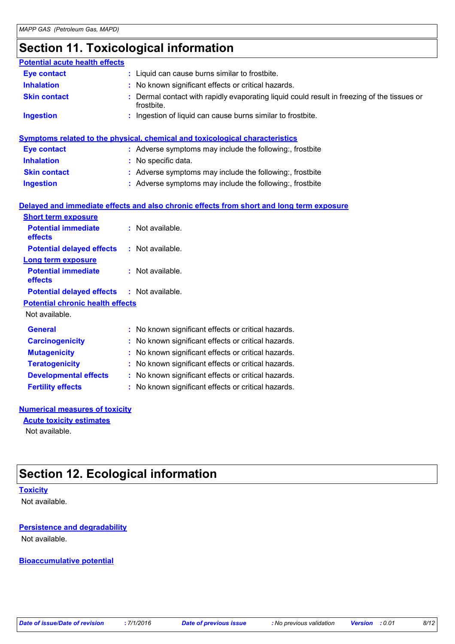# **Section 11. Toxicological information**

| <b>Potential acute health effects</b>   |                                                                                                         |
|-----------------------------------------|---------------------------------------------------------------------------------------------------------|
| <b>Eye contact</b>                      | : Liquid can cause burns similar to frostbite.                                                          |
| <b>Inhalation</b>                       | No known significant effects or critical hazards.                                                       |
| <b>Skin contact</b>                     | Dermal contact with rapidly evaporating liquid could result in freezing of the tissues or<br>frostbite. |
| <b>Ingestion</b>                        | Ingestion of liquid can cause burns similar to frostbite.                                               |
|                                         | Symptoms related to the physical, chemical and toxicological characteristics                            |
| <b>Eye contact</b>                      | : Adverse symptoms may include the following:, frostbite                                                |
| <b>Inhalation</b>                       | No specific data.                                                                                       |
| <b>Skin contact</b>                     | : Adverse symptoms may include the following:, frostbite                                                |
| <b>Ingestion</b>                        | : Adverse symptoms may include the following:, frostbite                                                |
|                                         |                                                                                                         |
|                                         | Delayed and immediate effects and also chronic effects from short and long term exposure                |
| <b>Short term exposure</b>              |                                                                                                         |
| <b>Potential immediate</b><br>effects   | : Not available.                                                                                        |
| <b>Potential delayed effects</b>        | Not available.                                                                                          |
| <b>Long term exposure</b>               |                                                                                                         |
| <b>Potential immediate</b><br>effects   | : Not available.                                                                                        |
| <b>Potential delayed effects</b>        | : Not available.                                                                                        |
| <b>Potential chronic health effects</b> |                                                                                                         |
| Not available.                          |                                                                                                         |
| <b>General</b>                          | : No known significant effects or critical hazards.                                                     |
| <b>Carcinogenicity</b>                  | No known significant effects or critical hazards.                                                       |
| <b>Mutagenicity</b>                     | No known significant effects or critical hazards.                                                       |
| <b>Teratogenicity</b>                   | No known significant effects or critical hazards.                                                       |
| <b>Developmental effects</b>            | No known significant effects or critical hazards.                                                       |
| <b>Fertility effects</b>                | No known significant effects or critical hazards.                                                       |
|                                         |                                                                                                         |

#### **Numerical measures of toxicity**

**Acute toxicity estimates**

Not available.

# **Section 12. Ecological information**

#### **Toxicity**

Not available.

#### **Persistence and degradability**

Not available.

**Bioaccumulative potential**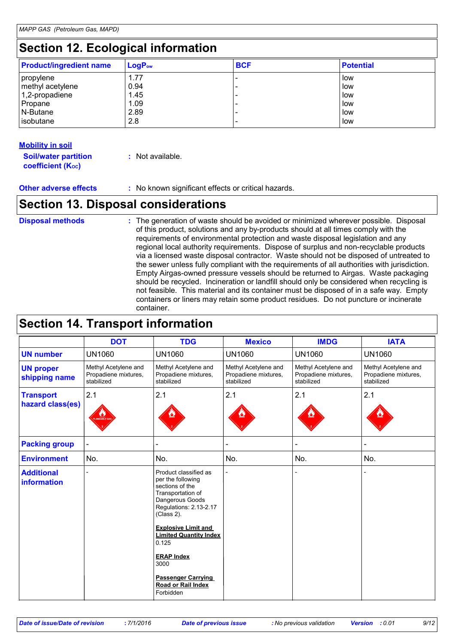# **Section 12. Ecological information**

| <b>Product/ingredient name</b> | $LogP_{ow}$ | <b>BCF</b> | <b>Potential</b> |
|--------------------------------|-------------|------------|------------------|
| propylene                      | 1.77        |            | low              |
| methyl acetylene               | 0.94        |            | l low            |
| $1,2$ -propadiene              | 1.45        |            | low              |
| Propane                        | 1.09        |            | low              |
| N-Butane                       | 2.89        |            | low              |
| lisobutane                     | 2.8         |            | low              |

#### **Mobility in soil**

| <b>Soil/water partition</b> | : Not available. |
|-----------------------------|------------------|
| <b>coefficient (Koc)</b>    |                  |

**Other adverse effects** : No known significant effects or critical hazards.

### **Section 13. Disposal considerations**

**Disposal methods :**

The generation of waste should be avoided or minimized wherever possible. Disposal of this product, solutions and any by-products should at all times comply with the requirements of environmental protection and waste disposal legislation and any regional local authority requirements. Dispose of surplus and non-recyclable products via a licensed waste disposal contractor. Waste should not be disposed of untreated to the sewer unless fully compliant with the requirements of all authorities with jurisdiction. Empty Airgas-owned pressure vessels should be returned to Airgas. Waste packaging should be recycled. Incineration or landfill should only be considered when recycling is not feasible. This material and its container must be disposed of in a safe way. Empty containers or liners may retain some product residues. Do not puncture or incinerate container.

### **Section 14. Transport information**

|                                         | <b>DOT</b>                                                 | <b>TDG</b>                                                                                                                                    | <b>Mexico</b>                                              | <b>IMDG</b>                                                | <b>IATA</b>                                                |
|-----------------------------------------|------------------------------------------------------------|-----------------------------------------------------------------------------------------------------------------------------------------------|------------------------------------------------------------|------------------------------------------------------------|------------------------------------------------------------|
| <b>UN number</b>                        | <b>UN1060</b>                                              | <b>UN1060</b>                                                                                                                                 | <b>UN1060</b>                                              | <b>UN1060</b>                                              | <b>UN1060</b>                                              |
| <b>UN proper</b><br>shipping name       | Methyl Acetylene and<br>Propadiene mixtures,<br>stabilized | Methyl Acetylene and<br>Propadiene mixtures,<br>stabilized                                                                                    | Methyl Acetylene and<br>Propadiene mixtures,<br>stabilized | Methyl Acetylene and<br>Propadiene mixtures,<br>stabilized | Methyl Acetylene and<br>Propadiene mixtures,<br>stabilized |
| <b>Transport</b><br>hazard class(es)    | 2.1<br><b>MMABLE</b>                                       | 2.1                                                                                                                                           | 2.1                                                        | 2.1                                                        | 2.1                                                        |
| <b>Packing group</b>                    |                                                            |                                                                                                                                               |                                                            |                                                            |                                                            |
| <b>Environment</b>                      | No.                                                        | No.                                                                                                                                           | No.                                                        | No.                                                        | No.                                                        |
| <b>Additional</b><br><b>information</b> |                                                            | Product classified as<br>per the following<br>sections of the<br>Transportation of<br>Dangerous Goods<br>Regulations: 2.13-2.17<br>(Class 2). |                                                            |                                                            |                                                            |
|                                         |                                                            | <b>Explosive Limit and</b><br><b>Limited Quantity Index</b><br>0.125                                                                          |                                                            |                                                            |                                                            |
|                                         |                                                            | <b>ERAP Index</b><br>3000                                                                                                                     |                                                            |                                                            |                                                            |
|                                         |                                                            | <b>Passenger Carrying</b><br>Road or Rail Index<br>Forbidden                                                                                  |                                                            |                                                            |                                                            |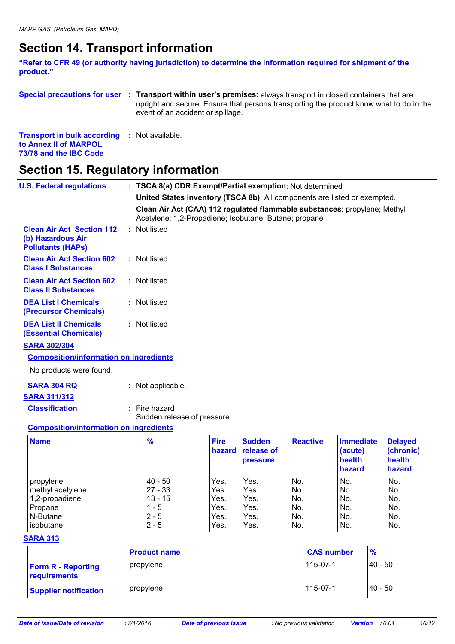# **Section 14. Transport information**

**"Refer to CFR 49 (or authority having jurisdiction) to determine the information required for shipment of the product."** 

**Special precautions for user Transport within user's premises:** always transport in closed containers that are **: Transport in bulk according :** Not available. upright and secure. Ensure that persons transporting the product know what to do in the event of an accident or spillage.

**to Annex II of MARPOL** 

### **73/78 and the IBC Code**

# **Section 15. Regulatory information**

| <b>U.S. Federal regulations</b>                                                   | : TSCA 8(a) CDR Exempt/Partial exemption: Not determined                                                                           |                       |                             |                 |                                               |                                               |
|-----------------------------------------------------------------------------------|------------------------------------------------------------------------------------------------------------------------------------|-----------------------|-----------------------------|-----------------|-----------------------------------------------|-----------------------------------------------|
|                                                                                   | United States inventory (TSCA 8b): All components are listed or exempted.                                                          |                       |                             |                 |                                               |                                               |
|                                                                                   | Clean Air Act (CAA) 112 regulated flammable substances: propylene; Methyl<br>Acetylene; 1,2-Propadiene; Isobutane; Butane; propane |                       |                             |                 |                                               |                                               |
| <b>Clean Air Act Section 112</b><br>(b) Hazardous Air<br><b>Pollutants (HAPs)</b> | : Not listed                                                                                                                       |                       |                             |                 |                                               |                                               |
| <b>Clean Air Act Section 602</b><br><b>Class I Substances</b>                     | : Not listed                                                                                                                       |                       |                             |                 |                                               |                                               |
| <b>Clean Air Act Section 602</b><br><b>Class II Substances</b>                    | : Not listed                                                                                                                       |                       |                             |                 |                                               |                                               |
| <b>DEA List I Chemicals</b><br>(Precursor Chemicals)                              | : Not listed                                                                                                                       |                       |                             |                 |                                               |                                               |
| <b>DEA List II Chemicals</b><br><b>(Essential Chemicals)</b>                      | : Not listed                                                                                                                       |                       |                             |                 |                                               |                                               |
| <b>SARA 302/304</b>                                                               |                                                                                                                                    |                       |                             |                 |                                               |                                               |
| <b>Composition/information on ingredients</b>                                     |                                                                                                                                    |                       |                             |                 |                                               |                                               |
| No products were found.                                                           |                                                                                                                                    |                       |                             |                 |                                               |                                               |
| <b>SARA 304 RQ</b>                                                                | : Not applicable.                                                                                                                  |                       |                             |                 |                                               |                                               |
| <b>SARA 311/312</b>                                                               |                                                                                                                                    |                       |                             |                 |                                               |                                               |
| <b>Classification</b>                                                             | $:$ Fire hazard<br>Sudden release of pressure                                                                                      |                       |                             |                 |                                               |                                               |
| <b>Composition/information on ingredients</b>                                     |                                                                                                                                    |                       |                             |                 |                                               |                                               |
| <b>Name</b>                                                                       | %                                                                                                                                  | <b>Fire</b><br>hazard | <b>Sudden</b><br>release of | <b>Reactive</b> | <b>Immediate</b><br>(acute)<br>المالفة المرام | <b>Delayed</b><br>(chronic)<br>المالفة المرام |

| $\blacksquare$   | 70      | 11 I G | <u>vuuutii</u><br>hazard release of<br><b>pressure</b> | <b>INGACHYG</b> | mmiculate<br>(acute)<br>health<br>hazard | <b>Delayeu</b><br>(chronic)<br>health<br>hazard |
|------------------|---------|--------|--------------------------------------------------------|-----------------|------------------------------------------|-------------------------------------------------|
| propylene        | 40 - 50 | Yes.   | Yes.                                                   | No.             | No.                                      | No.                                             |
| methyl acetylene | 27 - 33 | Yes.   | Yes.                                                   | No.             | No.                                      | No.                                             |
| 1,2-propadiene   | 13 - 15 | Yes.   | Yes.                                                   | INo.            | No.                                      | No.                                             |
| Propane          | 1 - 5   | Yes.   | Yes.                                                   | No.             | No.                                      | No.                                             |
| N-Butane         | $2 - 5$ | Yes.   | Yes.                                                   | No.             | No.                                      | No.                                             |
| lisobutane       | $2 - 5$ | Yes.   | Yes.                                                   | No.             | No.                                      | No.                                             |

#### **SARA 313**

|                                           | <b>Product name</b> | <b>CAS number</b> | $\frac{9}{6}$ |
|-------------------------------------------|---------------------|-------------------|---------------|
| <b>Form R - Reporting</b><br>requirements | propylene           | $115 - 07 - 1$    | 40 - 50       |
| <b>Supplier notification</b>              | propylene           | $115 - 07 - 1$    | 40 - 50       |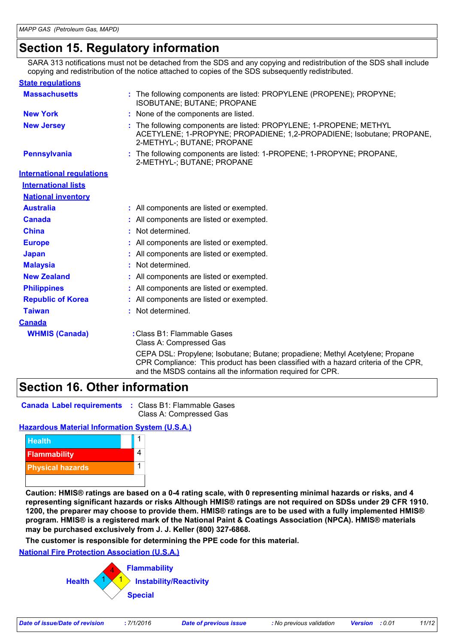# **Section 15. Regulatory information**

SARA 313 notifications must not be detached from the SDS and any copying and redistribution of the SDS shall include copying and redistribution of the notice attached to copies of the SDS subsequently redistributed.

| <b>State regulations</b>         |                                                                                                                                                                                                                                     |
|----------------------------------|-------------------------------------------------------------------------------------------------------------------------------------------------------------------------------------------------------------------------------------|
| <b>Massachusetts</b>             | : The following components are listed: PROPYLENE (PROPENE); PROPYNE;<br><b>ISOBUTANE; BUTANE; PROPANE</b>                                                                                                                           |
| <b>New York</b>                  | : None of the components are listed.                                                                                                                                                                                                |
| <b>New Jersey</b>                | : The following components are listed: PROPYLENE; 1-PROPENE; METHYL<br>ACETYLENE; 1-PROPYNE; PROPADIENE; 1,2-PROPADIENE; Isobutane; PROPANE,<br>2-METHYL-; BUTANE; PROPANE                                                          |
| <b>Pennsylvania</b>              | : The following components are listed: 1-PROPENE; 1-PROPYNE; PROPANE,<br>2-METHYL-; BUTANE; PROPANE                                                                                                                                 |
| <b>International requlations</b> |                                                                                                                                                                                                                                     |
| <b>International lists</b>       |                                                                                                                                                                                                                                     |
| <b>National inventory</b>        |                                                                                                                                                                                                                                     |
| <b>Australia</b>                 | : All components are listed or exempted.                                                                                                                                                                                            |
| <b>Canada</b>                    | : All components are listed or exempted.                                                                                                                                                                                            |
| <b>China</b>                     | : Not determined.                                                                                                                                                                                                                   |
| <b>Europe</b>                    | : All components are listed or exempted.                                                                                                                                                                                            |
| <b>Japan</b>                     | : All components are listed or exempted.                                                                                                                                                                                            |
| <b>Malaysia</b>                  | Not determined.                                                                                                                                                                                                                     |
| <b>New Zealand</b>               | : All components are listed or exempted.                                                                                                                                                                                            |
| <b>Philippines</b>               | : All components are listed or exempted.                                                                                                                                                                                            |
| <b>Republic of Korea</b>         | : All components are listed or exempted.                                                                                                                                                                                            |
| <b>Taiwan</b>                    | : Not determined.                                                                                                                                                                                                                   |
| <b>Canada</b>                    |                                                                                                                                                                                                                                     |
| <b>WHMIS (Canada)</b>            | : Class B1: Flammable Gases<br>Class A: Compressed Gas                                                                                                                                                                              |
|                                  | CEPA DSL: Propylene; Isobutane; Butane; propadiene; Methyl Acetylene; Propane<br>CPR Compliance: This product has been classified with a hazard criteria of the CPR,<br>and the MSDS contains all the information required for CPR. |

# **Section 16. Other information**

**Canada Label requirements :** Class B1: Flammable Gases Class A: Compressed Gas

#### **Hazardous Material Information System (U.S.A.)**



**Caution: HMIS® ratings are based on a 0-4 rating scale, with 0 representing minimal hazards or risks, and 4 representing significant hazards or risks Although HMIS® ratings are not required on SDSs under 29 CFR 1910. 1200, the preparer may choose to provide them. HMIS® ratings are to be used with a fully implemented HMIS® program. HMIS® is a registered mark of the National Paint & Coatings Association (NPCA). HMIS® materials may be purchased exclusively from J. J. Keller (800) 327-6868.**

**The customer is responsible for determining the PPE code for this material.**

#### **National Fire Protection Association (U.S.A.)**